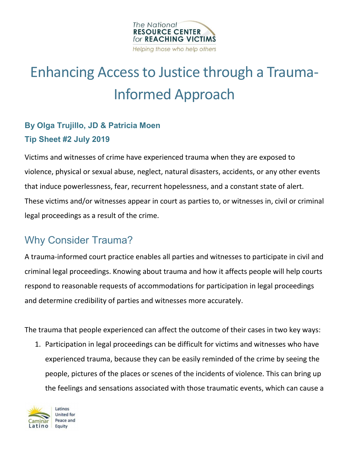

# Enhancing Access to Justice through a Trauma-Informed Approach

## **By Olga Trujillo, JD & Patricia Moen Tip Sheet #2 July 2019**

Victims and witnesses of crime have experienced trauma when they are exposed to violence, physical or sexual abuse, neglect, natural disasters, accidents, or any other events that induce powerlessness, fear, recurrent hopelessness, and a constant state of alert. These victims and/or witnesses appear in court as parties to, or witnesses in, civil or criminal legal proceedings as a result of the crime.

## Why Consider Trauma?

A trauma-informed court practice enables all parties and witnesses to participate in civil and criminal legal proceedings. Knowing about trauma and how it affects people will help courts respond to reasonable requests of accommodations for participation in legal proceedings and determine credibility of parties and witnesses more accurately.

The trauma that people experienced can affect the outcome of their cases in two key ways:

1. Participation in legal proceedings can be difficult for victims and witnesses who have experienced trauma, because they can be easily reminded of the crime by seeing the people, pictures of the places or scenes of the incidents of violence. This can bring up the feelings and sensations associated with those traumatic events, which can cause a

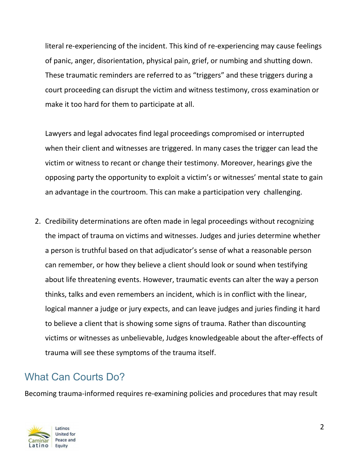literal re-experiencing of the incident. This kind of re-experiencing may cause feelings of panic, anger, disorientation, physical pain, grief, or numbing and shutting down. These traumatic reminders are referred to as "triggers" and these triggers during a court proceeding can disrupt the victim and witness testimony, cross examination or make it too hard for them to participate at all.

Lawyers and legal advocates find legal proceedings compromised or interrupted when their client and witnesses are triggered. In many cases the trigger can lead the victim or witness to recant or change their testimony. Moreover, hearings give the opposing party the opportunity to exploit a victim's or witnesses' mental state to gain an advantage in the courtroom. This can make a participation very challenging.

2. Credibility determinations are often made in legal proceedings without recognizing the impact of trauma on victims and witnesses. Judges and juries determine whether a person is truthful based on that adjudicator's sense of what a reasonable person can remember, or how they believe a client should look or sound when testifying about life threatening events. However, traumatic events can alter the way a person thinks, talks and even remembers an incident, which is in conflict with the linear, logical manner a judge or jury expects, and can leave judges and juries finding it hard to believe a client that is showing some signs of trauma. Rather than discounting victims or witnesses as unbelievable, Judges knowledgeable about the after-effects of trauma will see these symptoms of the trauma itself.

## What Can Courts Do?

Becoming trauma-informed requires re-examining policies and procedures that may result

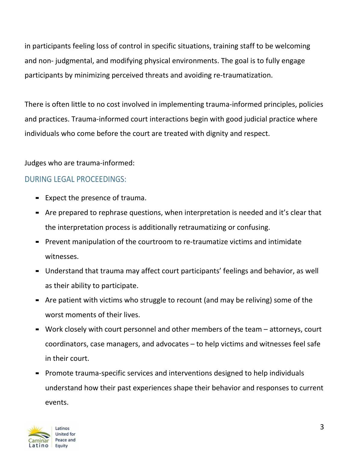in participants feeling loss of control in specific situations, training staff to be welcoming and non- judgmental, and modifying physical environments. The goal is to fully engage participants by minimizing perceived threats and avoiding re-traumatization.

There is often little to no cost involved in implementing trauma-informed principles, policies and practices. Trauma-informed court interactions begin with good judicial practice where individuals who come before the court are treated with dignity and respect.

Judges who are trauma-informed:

#### DURING LEGAL PROCEEDINGS:

- Expect the presence of trauma.
- Are prepared to rephrase questions, when interpretation is needed and it's clear that the interpretation process is additionally retraumatizing or confusing.
- Prevent manipulation of the courtroom to re-traumatize victims and intimidate witnesses.
- Understand that trauma may affect court participants' feelings and behavior, as well as their ability to participate.
- Are patient with victims who struggle to recount (and may be reliving) some of the worst moments of their lives.
- Work closely with court personnel and other members of the team attorneys, court coordinators, case managers, and advocates – to help victims and witnesses feel safe in their court.
- Promote trauma-specific services and interventions designed to help individuals understand how their past experiences shape their behavior and responses to current events.

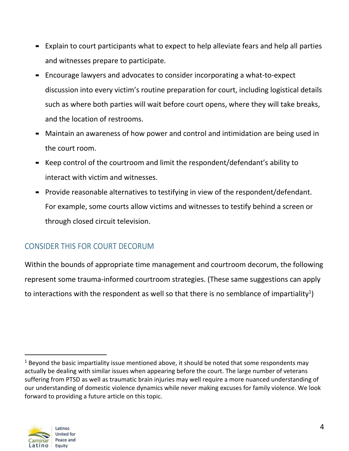- Explain to court participants what to expect to help alleviate fears and help all parties and witnesses prepare to participate.
- Encourage lawyers and advocates to consider incorporating a what-to-expect discussion into every victim's routine preparation for court, including logistical details such as where both parties will wait before court opens, where they will take breaks, and the location of restrooms.
- Maintain an awareness of how power and control and intimidation are being used in the court room.
- Keep control of the courtroom and limit the respondent/defendant's ability to interact with victim and witnesses.
- Provide reasonable alternatives to testifying in view of the respondent/defendant. For example, some courts allow victims and witnesses to testify behind a screen or through closed circuit television.

### CONSIDER THIS FOR COURT DECORUM

Within the bounds of appropriate time management and courtroom decorum, the following represent some trauma-informed courtroom strategies. (These same suggestions can apply to interactions with the respondent as well so that there is no semblance of impartiality<sup>1</sup>)



 $1$  Beyond the basic impartiality issue mentioned above, it should be noted that some respondents may actually be dealing with similar issues when appearing before the court. The large number of veterans suffering from PTSD as well as traumatic brain injuries may well require a more nuanced understanding of our understanding of domestic violence dynamics while never making excuses for family violence. We look forward to providing a future article on this topic.